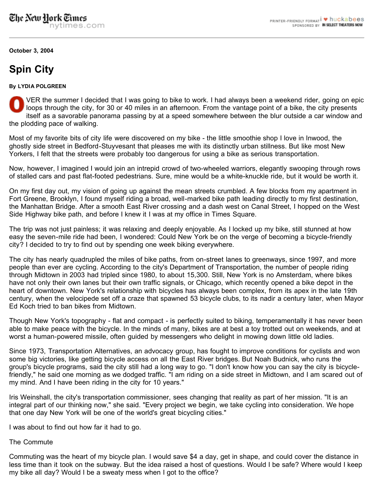**October 3, 2004**

# **Spin City**

### **By LYDIA POLGREEN**

VER the summer I decided that I was going to bike to work. I had always been a weekend rider, going on epic loops through the city, for 30 or 40 miles in an afternoon. From the vantage point of a bike, the city presents itself as a savorable panorama passing by at a speed somewhere between the blur outside a car window and the plodding pace of walking.

Most of my favorite bits of city life were discovered on my bike - the little smoothie shop I love in Inwood, the ghostly side street in Bedford-Stuyvesant that pleases me with its distinctly urban stillness. But like most New Yorkers, I felt that the streets were probably too dangerous for using a bike as serious transportation.

Now, however, I imagined I would join an intrepid crowd of two-wheeled warriors, elegantly swooping through rows of stalled cars and past flat-footed pedestrians. Sure, mine would be a white-knuckle ride, but it would be worth it.

On my first day out, my vision of going up against the mean streets crumbled. A few blocks from my apartment in Fort Greene, Brooklyn, I found myself riding a broad, well-marked bike path leading directly to my first destination, the Manhattan Bridge. After a smooth East River crossing and a dash west on Canal Street, I hopped on the West Side Highway bike path, and before I knew it I was at my office in Times Square.

The trip was not just painless; it was relaxing and deeply enjoyable. As I locked up my bike, still stunned at how easy the seven-mile ride had been, I wondered: Could New York be on the verge of becoming a bicycle-friendly city? I decided to try to find out by spending one week biking everywhere.

The city has nearly quadrupled the miles of bike paths, from on-street lanes to greenways, since 1997, and more people than ever are cycling. According to the city's Department of Transportation, the number of people riding through Midtown in 2003 had tripled since 1980, to about 15,300. Still, New York is no Amsterdam, where bikes have not only their own lanes but their own traffic signals, or Chicago, which recently opened a bike depot in the heart of downtown. New York's relationship with bicycles has always been complex, from its apex in the late 19th century, when the velocipede set off a craze that spawned 53 bicycle clubs, to its nadir a century later, when Mayor Ed Koch tried to ban bikes from Midtown.

Though New York's topography - flat and compact - is perfectly suited to biking, temperamentally it has never been able to make peace with the bicycle. In the minds of many, bikes are at best a toy trotted out on weekends, and at worst a human-powered missile, often guided by messengers who delight in mowing down little old ladies.

Since 1973, Transportation Alternatives, an advocacy group, has fought to improve conditions for cyclists and won some big victories, like getting bicycle access on all the East River bridges. But Noah Budnick, who runs the group's bicycle programs, said the city still had a long way to go. "I don't know how you can say the city is bicyclefriendly," he said one morning as we dodged traffic. "I am riding on a side street in Midtown, and I am scared out of my mind. And I have been riding in the city for 10 years."

Iris Weinshall, the city's transportation commissioner, sees changing that reality as part of her mission. "It is an integral part of our thinking now," she said. "Every project we begin, we take cycling into consideration. We hope that one day New York will be one of the world's great bicycling cities."

I was about to find out how far it had to go.

## The Commute

Commuting was the heart of my bicycle plan. I would save \$4 a day, get in shape, and could cover the distance in less time than it took on the subway. But the idea raised a host of questions. Would I be safe? Where would I keep my bike all day? Would I be a sweaty mess when I got to the office?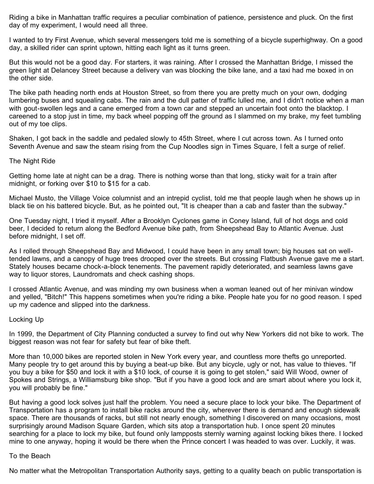Riding a bike in Manhattan traffic requires a peculiar combination of patience, persistence and pluck. On the first day of my experiment, I would need all three.

I wanted to try First Avenue, which several messengers told me is something of a bicycle superhighway. On a good day, a skilled rider can sprint uptown, hitting each light as it turns green.

But this would not be a good day. For starters, it was raining. After I crossed the Manhattan Bridge, I missed the green light at Delancey Street because a delivery van was blocking the bike lane, and a taxi had me boxed in on the other side.

The bike path heading north ends at Houston Street, so from there you are pretty much on your own, dodging lumbering buses and squealing cabs. The rain and the dull patter of traffic lulled me, and I didn't notice when a man with gout-swollen legs and a cane emerged from a town car and stepped an uncertain foot onto the blacktop. I careened to a stop just in time, my back wheel popping off the ground as I slammed on my brake, my feet tumbling out of my toe clips.

Shaken, I got back in the saddle and pedaled slowly to 45th Street, where I cut across town. As I turned onto Seventh Avenue and saw the steam rising from the Cup Noodles sign in Times Square, I felt a surge of relief.

#### The Night Ride

Getting home late at night can be a drag. There is nothing worse than that long, sticky wait for a train after midnight, or forking over \$10 to \$15 for a cab.

Michael Musto, the Village Voice columnist and an intrepid cyclist, told me that people laugh when he shows up in black tie on his battered bicycle. But, as he pointed out, "It is cheaper than a cab and faster than the subway."

One Tuesday night, I tried it myself. After a Brooklyn Cyclones game in Coney Island, full of hot dogs and cold beer, I decided to return along the Bedford Avenue bike path, from Sheepshead Bay to Atlantic Avenue. Just before midnight, I set off.

As I rolled through Sheepshead Bay and Midwood, I could have been in any small town; big houses sat on welltended lawns, and a canopy of huge trees drooped over the streets. But crossing Flatbush Avenue gave me a start. Stately houses became chock-a-block tenements. The pavement rapidly deteriorated, and seamless lawns gave way to liquor stores, Laundromats and check cashing shops.

I crossed Atlantic Avenue, and was minding my own business when a woman leaned out of her minivan window and yelled, "Bitch!" This happens sometimes when you're riding a bike. People hate you for no good reason. I sped up my cadence and slipped into the darkness.

## Locking Up

In 1999, the Department of City Planning conducted a survey to find out why New Yorkers did not bike to work. The biggest reason was not fear for safety but fear of bike theft.

More than 10,000 bikes are reported stolen in New York every year, and countless more thefts go unreported. Many people try to get around this by buying a beat-up bike. But any bicycle, ugly or not, has value to thieves. "If you buy a bike for \$50 and lock it with a \$10 lock, of course it is going to get stolen," said Will Wood, owner of Spokes and Strings, a Williamsburg bike shop. "But if you have a good lock and are smart about where you lock it, you will probably be fine."

But having a good lock solves just half the problem. You need a secure place to lock your bike. The Department of Transportation has a program to install bike racks around the city, wherever there is demand and enough sidewalk space. There are thousands of racks, but still not nearly enough, something I discovered on many occasions, most surprisingly around Madison Square Garden, which sits atop a transportation hub. I once spent 20 minutes searching for a place to lock my bike, but found only lampposts sternly warning against locking bikes there. I locked mine to one anyway, hoping it would be there when the Prince concert I was headed to was over. Luckily, it was.

## To the Beach

No matter what the Metropolitan Transportation Authority says, getting to a quality beach on public transportation is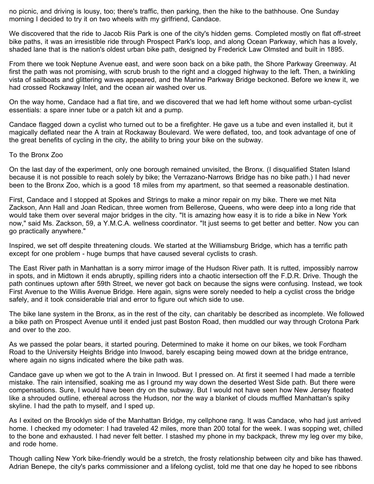no picnic, and driving is lousy, too; there's traffic, then parking, then the hike to the bathhouse. One Sunday morning I decided to try it on two wheels with my girlfriend, Candace.

We discovered that the ride to Jacob Riis Park is one of the city's hidden gems. Completed mostly on flat off-street bike paths, it was an irresistible ride through Prospect Park's loop, and along Ocean Parkway, which has a lovely, shaded lane that is the nation's oldest urban bike path, designed by Frederick Law Olmsted and built in 1895.

From there we took Neptune Avenue east, and were soon back on a bike path, the Shore Parkway Greenway. At first the path was not promising, with scrub brush to the right and a clogged highway to the left. Then, a twinkling vista of sailboats and glittering waves appeared, and the Marine Parkway Bridge beckoned. Before we knew it, we had crossed Rockaway Inlet, and the ocean air washed over us.

On the way home, Candace had a flat tire, and we discovered that we had left home without some urban-cyclist essentials: a spare inner tube or a patch kit and a pump.

Candace flagged down a cyclist who turned out to be a firefighter. He gave us a tube and even installed it, but it magically deflated near the A train at Rockaway Boulevard. We were deflated, too, and took advantage of one of the great benefits of cycling in the city, the ability to bring your bike on the subway.

To the Bronx Zoo

On the last day of the experiment, only one borough remained unvisited, the Bronx. (I disqualified Staten Island because it is not possible to reach solely by bike; the Verrazano-Narrows Bridge has no bike path.) I had never been to the Bronx Zoo, which is a good 18 miles from my apartment, so that seemed a reasonable destination.

First, Candace and I stopped at Spokes and Strings to make a minor repair on my bike. There we met Nita Zackson, Ann Hall and Joan Redican, three women from Bellerose, Queens, who were deep into a long ride that would take them over several major bridges in the city. "It is amazing how easy it is to ride a bike in New York now," said Ms. Zackson, 59, a Y.M.C.A. wellness coordinator. "It just seems to get better and better. Now you can go practically anywhere."

Inspired, we set off despite threatening clouds. We started at the Williamsburg Bridge, which has a terrific path except for one problem - huge bumps that have caused several cyclists to crash.

The East River path in Manhattan is a sorry mirror image of the Hudson River path. It is rutted, impossibly narrow in spots, and in Midtown it ends abruptly, spilling riders into a chaotic intersection off the F.D.R. Drive. Though the path continues uptown after 59th Street, we never got back on because the signs were confusing. Instead, we took First Avenue to the Willis Avenue Bridge. Here again, signs were sorely needed to help a cyclist cross the bridge safely, and it took considerable trial and error to figure out which side to use.

The bike lane system in the Bronx, as in the rest of the city, can charitably be described as incomplete. We followed a bike path on Prospect Avenue until it ended just past Boston Road, then muddled our way through Crotona Park and over to the zoo.

As we passed the polar bears, it started pouring. Determined to make it home on our bikes, we took Fordham Road to the University Heights Bridge into Inwood, barely escaping being mowed down at the bridge entrance, where again no signs indicated where the bike path was.

Candace gave up when we got to the A train in Inwood. But I pressed on. At first it seemed I had made a terrible mistake. The rain intensified, soaking me as I ground my way down the deserted West Side path. But there were compensations. Sure, I would have been dry on the subway. But I would not have seen how New Jersey floated like a shrouded outline, ethereal across the Hudson, nor the way a blanket of clouds muffled Manhattan's spiky skyline. I had the path to myself, and I sped up.

As I exited on the Brooklyn side of the Manhattan Bridge, my cellphone rang. It was Candace, who had just arrived home. I checked my odometer: I had traveled 42 miles, more than 200 total for the week. I was sopping wet, chilled to the bone and exhausted. I had never felt better. I stashed my phone in my backpack, threw my leg over my bike, and rode home.

Though calling New York bike-friendly would be a stretch, the frosty relationship between city and bike has thawed. Adrian Benepe, the city's parks commissioner and a lifelong cyclist, told me that one day he hoped to see ribbons